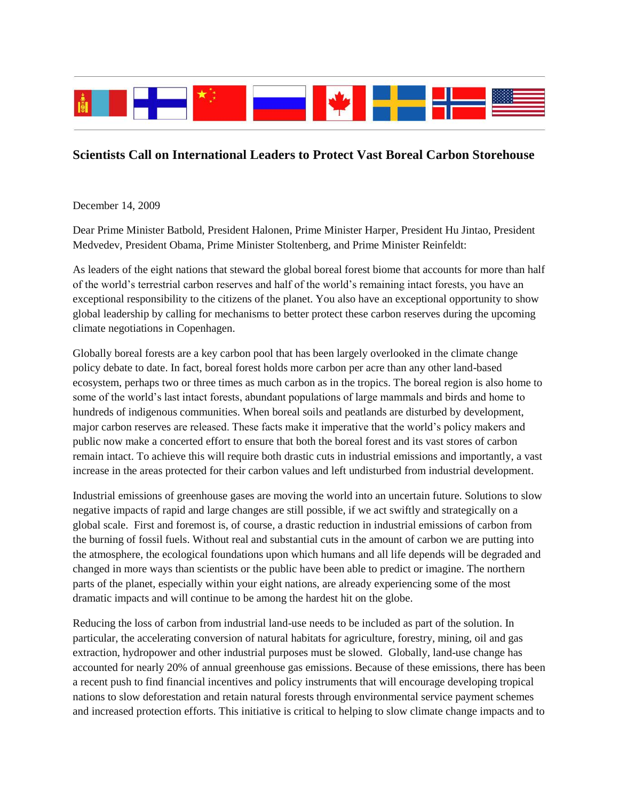

## **Scientists Call on International Leaders to Protect Vast Boreal Carbon Storehouse**

December 14, 2009

Dear Prime Minister Batbold, President Halonen, Prime Minister Harper, President Hu Jintao, President Medvedev, President Obama, Prime Minister Stoltenberg, and Prime Minister Reinfeldt:

As leaders of the eight nations that steward the global boreal forest biome that accounts for more than half of the world's terrestrial carbon reserves and half of the world's remaining intact forests, you have an exceptional responsibility to the citizens of the planet. You also have an exceptional opportunity to show global leadership by calling for mechanisms to better protect these carbon reserves during the upcoming climate negotiations in Copenhagen.

Globally boreal forests are a key carbon pool that has been largely overlooked in the climate change policy debate to date. In fact, boreal forest holds more carbon per acre than any other land-based ecosystem, perhaps two or three times as much carbon as in the tropics. The boreal region is also home to some of the world's last intact forests, abundant populations of large mammals and birds and home to hundreds of indigenous communities. When boreal soils and peatlands are disturbed by development, major carbon reserves are released. These facts make it imperative that the world's policy makers and public now make a concerted effort to ensure that both the boreal forest and its vast stores of carbon remain intact. To achieve this will require both drastic cuts in industrial emissions and importantly, a vast increase in the areas protected for their carbon values and left undisturbed from industrial development.

Industrial emissions of greenhouse gases are moving the world into an uncertain future. Solutions to slow negative impacts of rapid and large changes are still possible, if we act swiftly and strategically on a global scale. First and foremost is, of course, a drastic reduction in industrial emissions of carbon from the burning of fossil fuels. Without real and substantial cuts in the amount of carbon we are putting into the atmosphere, the ecological foundations upon which humans and all life depends will be degraded and changed in more ways than scientists or the public have been able to predict or imagine. The northern parts of the planet, especially within your eight nations, are already experiencing some of the most dramatic impacts and will continue to be among the hardest hit on the globe.

Reducing the loss of carbon from industrial land-use needs to be included as part of the solution. In particular, the accelerating conversion of natural habitats for agriculture, forestry, mining, oil and gas extraction, hydropower and other industrial purposes must be slowed. Globally, land-use change has accounted for nearly 20% of annual greenhouse gas emissions. Because of these emissions, there has been a recent push to find financial incentives and policy instruments that will encourage developing tropical nations to slow deforestation and retain natural forests through environmental service payment schemes and increased protection efforts. This initiative is critical to helping to slow climate change impacts and to